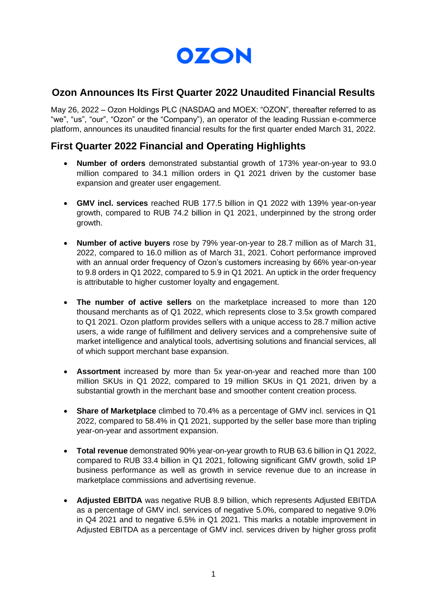

## **Ozon Announces Its First Quarter 2022 Unaudited Financial Results**

May 26, 2022 – Ozon Holdings PLC (NASDAQ and MOEX: "OZON", thereafter referred to as "we", "us", "our", "Ozon" or the "Company"), an operator of the leading Russian e-commerce platform, announces its unaudited financial results for the first quarter ended March 31, 2022.

## **First Quarter 2022 Financial and Operating Highlights**

- **Number of orders** demonstrated substantial growth of 173% year-on-year to 93.0 million compared to 34.1 million orders in Q1 2021 driven by the customer base expansion and greater user engagement.
- **GMV incl. services** reached RUB 177.5 billion in Q1 2022 with 139% year-on-year growth, compared to RUB 74.2 billion in Q1 2021, underpinned by the strong order growth.
- **Number of active buyers** rose by 79% year-on-year to 28.7 million as of March 31, 2022, compared to 16.0 million as of March 31, 2021. Cohort performance improved with an annual order frequency of Ozon's customers increasing by 66% year-on-year to 9.8 orders in Q1 2022, compared to 5.9 in Q1 2021. An uptick in the order frequency is attributable to higher customer loyalty and engagement.
- **The number of active sellers** on the marketplace increased to more than 120 thousand merchants as of Q1 2022, which represents close to 3.5x growth compared to Q1 2021. Ozon platform provides sellers with a unique access to 28.7 million active users, a wide range of fulfillment and delivery services and a comprehensive suite of market intelligence and analytical tools, advertising solutions and financial services, all of which support merchant base expansion.
- **Assortment** increased by more than 5x year-on-year and reached more than 100 million SKUs in Q1 2022, compared to 19 million SKUs in Q1 2021, driven by a substantial growth in the merchant base and smoother content creation process.
- **Share of Marketplace** climbed to 70.4% as a percentage of GMV incl. services in Q1 2022, compared to 58.4% in Q1 2021, supported by the seller base more than tripling year-on-year and assortment expansion.
- **Total revenue** demonstrated 90% year-on-year growth to RUB 63.6 billion in Q1 2022, compared to RUB 33.4 billion in Q1 2021, following significant GMV growth, solid 1P business performance as well as growth in service revenue due to an increase in marketplace commissions and advertising revenue.
- **Adjusted EBITDA** was negative RUB 8.9 billion, which represents Adjusted EBITDA as a percentage of GMV incl. services of negative 5.0%, compared to negative 9.0% in Q4 2021 and to negative 6.5% in Q1 2021. This marks a notable improvement in Adjusted EBITDA as a percentage of GMV incl. services driven by higher gross profit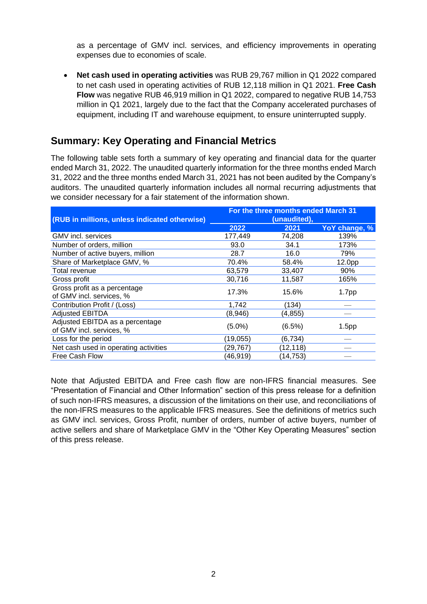as a percentage of GMV incl. services, and efficiency improvements in operating expenses due to economies of scale.

• **Net cash used in operating activities** was RUB 29,767 million in Q1 2022 compared to net cash used in operating activities of RUB 12,118 million in Q1 2021. **Free Cash Flow** was negative RUB 46,919 million in Q1 2022, compared to negative RUB 14,753 million in Q1 2021, largely due to the fact that the Company accelerated purchases of equipment, including IT and warehouse equipment, to ensure uninterrupted supply.

# **Summary: Key Operating and Financial Metrics**

The following table sets forth a summary of key operating and financial data for the quarter ended March 31, 2022. The unaudited quarterly information for the three months ended March 31, 2022 and the three months ended March 31, 2021 has not been audited by the Company's auditors. The unaudited quarterly information includes all normal recurring adjustments that we consider necessary for a fair statement of the information shown.

| (RUB in millions, unless indicated otherwise)               | For the three months ended March 31<br>(unaudited), |           |                    |
|-------------------------------------------------------------|-----------------------------------------------------|-----------|--------------------|
|                                                             | 2022                                                | 2021      | YoY change, %      |
| GMV incl. services                                          | 177,449                                             | 74,208    | 139%               |
| Number of orders, million                                   | 93.0                                                | 34.1      | 173%               |
| Number of active buyers, million                            | 28.7                                                | 16.0      | 79%                |
| Share of Marketplace GMV, %                                 | 70.4%                                               | 58.4%     | 12.0 <sub>pp</sub> |
| Total revenue                                               | 63,579                                              | 33,407    | 90%                |
| Gross profit                                                | 30,716                                              | 11,587    | 165%               |
| Gross profit as a percentage<br>of GMV incl. services, %    | 17.3%                                               | 15.6%     | 1.7pp              |
| Contribution Profit / (Loss)                                | 1,742                                               | (134)     |                    |
| <b>Adjusted EBITDA</b>                                      | (8,946)                                             | (4, 855)  |                    |
| Adjusted EBITDA as a percentage<br>of GMV incl. services, % | $(5.0\%)$                                           | $(6.5\%)$ | 1.5 <sub>pp</sub>  |
| Loss for the period                                         | (19, 055)                                           | (6, 734)  |                    |
| Net cash used in operating activities                       | (29,767)                                            | (12, 118) |                    |
| Free Cash Flow                                              | (46,919)                                            | (14, 753) |                    |

Note that Adjusted EBITDA and Free cash flow are non-IFRS financial measures. See "Presentation of Financial and Other Information" section of this press release for a definition of such non-IFRS measures, a discussion of the limitations on their use, and reconciliations of the non-IFRS measures to the applicable IFRS measures. See the definitions of metrics such as GMV incl. services, Gross Profit, number of orders, number of active buyers, number of active sellers and share of Marketplace GMV in the "Other Key Operating Measures" section of this press release.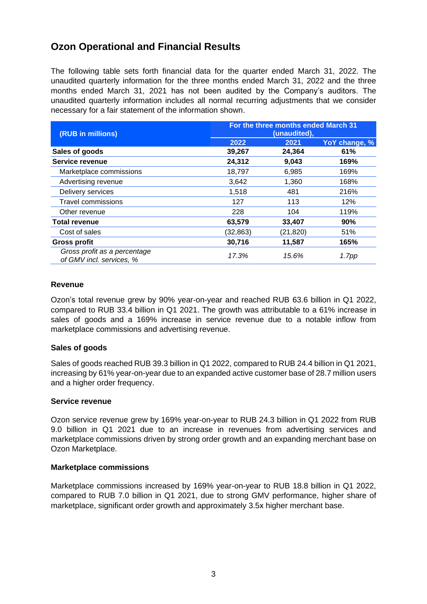# **Ozon Operational and Financial Results**

The following table sets forth financial data for the quarter ended March 31, 2022. The unaudited quarterly information for the three months ended March 31, 2022 and the three months ended March 31, 2021 has not been audited by the Company's auditors. The unaudited quarterly information includes all normal recurring adjustments that we consider necessary for a fair statement of the information shown.

| (RUB in millions)                                        | For the three months ended March 31<br>(unaudited), |          |               |
|----------------------------------------------------------|-----------------------------------------------------|----------|---------------|
|                                                          | 2022                                                | 2021     | YoY change, % |
| Sales of goods                                           | 39,267                                              | 24,364   | 61%           |
| Service revenue                                          | 24,312                                              | 9,043    | 169%          |
| Marketplace commissions                                  | 18,797                                              | 6,985    | 169%          |
| Advertising revenue                                      | 3,642                                               | 1,360    | 168%          |
| Delivery services                                        | 1,518                                               | 481      | 216%          |
| <b>Travel commissions</b>                                | 127                                                 | 113      | 12%           |
| Other revenue                                            | 228                                                 | 104      | 119%          |
| <b>Total revenue</b>                                     | 63,579                                              | 33,407   | 90%           |
| Cost of sales                                            | (32,863)                                            | (21,820) | 51%           |
| <b>Gross profit</b>                                      | 30,716                                              | 11,587   | 165%          |
| Gross profit as a percentage<br>of GMV incl. services, % | 17.3%                                               | 15.6%    | 1.7pp         |

## **Revenue**

Ozon's total revenue grew by 90% year-on-year and reached RUB 63.6 billion in Q1 2022, compared to RUB 33.4 billion in Q1 2021. The growth was attributable to a 61% increase in sales of goods and a 169% increase in service revenue due to a notable inflow from marketplace commissions and advertising revenue.

## **Sales of goods**

Sales of goods reached RUB 39.3 billion in Q1 2022, compared to RUB 24.4 billion in Q1 2021, increasing by 61% year-on-year due to an expanded active customer base of 28.7 million users and a higher order frequency.

#### **Service revenue**

Ozon service revenue grew by 169% year-on-year to RUB 24.3 billion in Q1 2022 from RUB 9.0 billion in Q1 2021 due to an increase in revenues from advertising services and marketplace commissions driven by strong order growth and an expanding merchant base on Ozon Marketplace.

## **Marketplace commissions**

Marketplace commissions increased by 169% year-on-year to RUB 18.8 billion in Q1 2022, compared to RUB 7.0 billion in Q1 2021, due to strong GMV performance, higher share of marketplace, significant order growth and approximately 3.5х higher merchant base.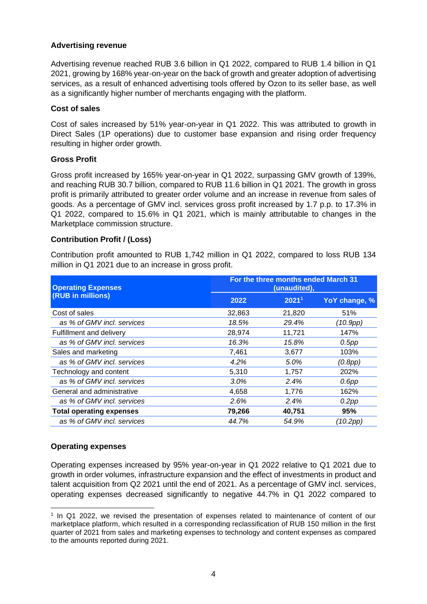## **Advertising revenue**

Advertising revenue reached RUB 3.6 billion in Q1 2022, compared to RUB 1.4 billion in Q1 2021, growing by 168% year-on-year on the back of growth and greater adoption of advertising services, as a result of enhanced advertising tools offered by Ozon to its seller base, as well as a significantly higher number of merchants engaging with the platform.

## **Cost of sales**

Cost of sales increased by 51% year-on-year in Q1 2022. This was attributed to growth in Direct Sales (1P operations) due to customer base expansion and rising order frequency resulting in higher order growth.

## **Gross Profit**

Gross profit increased by 165% year-on-year in Q1 2022, surpassing GMV growth of 139%, and reaching RUB 30.7 billion, compared to RUB 11.6 billion in Q1 2021. The growth in gross profit is primarily attributed to greater order volume and an increase in revenue from sales of goods. As a percentage of GMV incl. services gross profit increased by 1.7 p.p. to 17.3% in Q1 2022, compared to 15.6% in Q1 2021, which is mainly attributable to changes in the Marketplace commission structure.

## **Contribution Profit / (Loss)**

Contribution profit amounted to RUB 1,742 million in Q1 2022, compared to loss RUB 134 million in Q1 2021 due to an increase in gross profit.

| <b>Operating Expenses</b>       |        | For the three months ended March 31<br>(unaudited), |               |  |
|---------------------------------|--------|-----------------------------------------------------|---------------|--|
| (RUB in millions)               | 2022   | 2021 <sup>1</sup>                                   | YoY change, % |  |
| Cost of sales                   | 32,863 | 21,820                                              | 51%           |  |
| as % of GMV incl. services      | 18.5%  | 29.4%                                               | (10.9pp)      |  |
| Fulfillment and delivery        | 28,974 | 11,721                                              | 147%          |  |
| as % of GMV incl. services      | 16.3%  | 15.8%                                               | $0.5$ pp      |  |
| Sales and marketing             | 7,461  | 3,677                                               | 103%          |  |
| as % of GMV incl. services      | 4.2%   | 5.0%                                                | (0.8pp)       |  |
| Technology and content          | 5,310  | 1,757                                               | 202%          |  |
| as % of GMV incl. services      | 3.0%   | 2.4%                                                | $0.6$ pp      |  |
| General and administrative      | 4,658  | 1,776                                               | 162%          |  |
| as % of GMV incl. services      | 2.6%   | 2.4%                                                | 0.2pp         |  |
| <b>Total operating expenses</b> | 79,266 | 40,751                                              | 95%           |  |
| as % of GMV incl. services      | 44.7%  | 54.9%                                               | (10.2pp)      |  |

## **Operating expenses**

Operating expenses increased by 95% year-on-year in Q1 2022 relative to Q1 2021 due to growth in order volumes, infrastructure expansion and the effect of investments in product and talent acquisition from Q2 2021 until the end of 2021. As a percentage of GMV incl. services, operating expenses decreased significantly to negative 44.7% in Q1 2022 compared to

<sup>1</sup> In Q1 2022, we revised the presentation of expenses related to maintenance of content of our marketplace platform, which resulted in a corresponding reclassification of RUB 150 million in the first quarter of 2021 from sales and marketing expenses to technology and content expenses as compared to the amounts reported during 2021.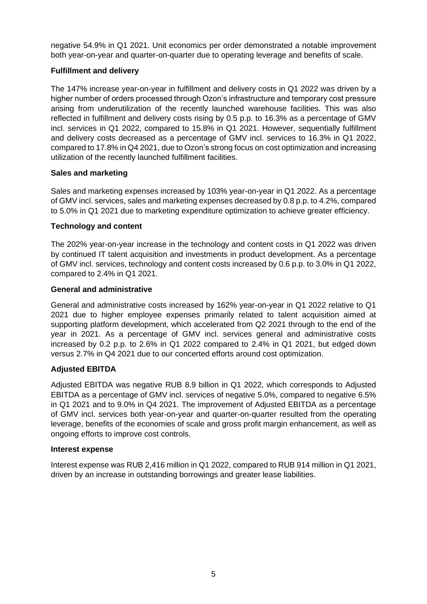negative 54.9% in Q1 2021. Unit economics per order demonstrated a notable improvement both year-on-year and quarter-on-quarter due to operating leverage and benefits of scale.

## **Fulfillment and delivery**

The 147% increase year-on-year in fulfillment and delivery costs in Q1 2022 was driven by a higher number of orders processed through Ozon's infrastructure and temporary cost pressure arising from underutilization of the recently launched warehouse facilities. This was also reflected in fulfillment and delivery costs rising by 0.5 p.p. to 16.3% as a percentage of GMV incl. services in Q1 2022, compared to 15.8% in Q1 2021. However, sequentially fulfillment and delivery costs decreased as a percentage of GMV incl. services to 16.3% in Q1 2022, compared to 17.8% in Q4 2021, due to Ozon's strong focus on cost optimization and increasing utilization of the recently launched fulfillment facilities.

## **Sales and marketing**

Sales and marketing expenses increased by 103% year-on-year in Q1 2022. As a percentage of GMV incl. services, sales and marketing expenses decreased by 0.8 p.p. to 4.2%, compared to 5.0% in Q1 2021 due to marketing expenditure optimization to achieve greater efficiency.

## **Technology and content**

The 202% year-on-year increase in the technology and content costs in Q1 2022 was driven by continued IT talent acquisition and investments in product development. As a percentage of GMV incl. services, technology and content costs increased by 0.6 p.p. to 3.0% in Q1 2022, compared to 2.4% in Q1 2021.

## **General and administrative**

General and administrative costs increased by 162% year-on-year in Q1 2022 relative to Q1 2021 due to higher employee expenses primarily related to talent acquisition aimed at supporting platform development, which accelerated from Q2 2021 through to the end of the year in 2021. As a percentage of GMV incl. services general and administrative costs increased by 0.2 p.p. to 2.6% in Q1 2022 compared to 2.4% in Q1 2021, but edged down versus 2.7% in Q4 2021 due to our concerted efforts around cost optimization.

## **Adjusted EBITDA**

Adjusted EBITDA was negative RUB 8.9 billion in Q1 2022, which corresponds to Adjusted EBITDA as a percentage of GMV incl. services of negative 5.0%, compared to negative 6.5% in Q1 2021 and to 9.0% in Q4 2021. The improvement of Adjusted EBITDA as a percentage of GMV incl. services both year-on-year and quarter-on-quarter resulted from the operating leverage, benefits of the economies of scale and gross profit margin enhancement, as well as ongoing efforts to improve cost controls.

## **Interest expense**

Interest expense was RUB 2,416 million in Q1 2022, compared to RUB 914 million in Q1 2021, driven by an increase in outstanding borrowings and greater lease liabilities.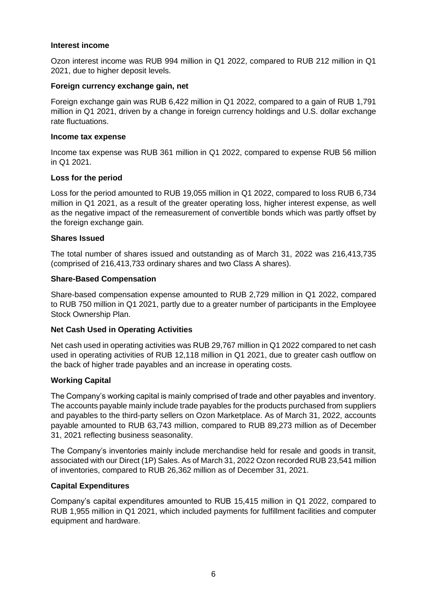#### **Interest income**

Ozon interest income was RUB 994 million in Q1 2022, compared to RUB 212 million in Q1 2021, due to higher deposit levels.

#### **Foreign currency exchange gain, net**

Foreign exchange gain was RUB 6,422 million in Q1 2022, compared to a gain of RUB 1,791 million in Q1 2021, driven by a change in foreign currency holdings and U.S. dollar exchange rate fluctuations.

#### **Income tax expense**

Income tax expense was RUB 361 million in Q1 2022, compared to expense RUB 56 million in Q1 2021.

## **Loss for the period**

Loss for the period amounted to RUB 19,055 million in Q1 2022, compared to loss RUB 6,734 million in Q1 2021, as a result of the greater operating loss, higher interest expense, as well as the negative impact of the remeasurement of convertible bonds which was partly offset by the foreign exchange gain.

#### **Shares Issued**

The total number of shares issued and outstanding as of March 31, 2022 was 216,413,735 (comprised of 216,413,733 ordinary shares and two Class A shares).

#### **Share-Based Compensation**

Share-based compensation expense amounted to RUB 2,729 million in Q1 2022, compared to RUB 750 million in Q1 2021, partly due to a greater number of participants in the Employee Stock Ownership Plan.

## **Net Cash Used in Operating Activities**

Net cash used in operating activities was RUB 29,767 million in Q1 2022 compared to net cash used in operating activities of RUB 12,118 million in Q1 2021, due to greater cash outflow on the back of higher trade payables and an increase in operating costs.

## **Working Capital**

The Company's working capital is mainly comprised of trade and other payables and inventory. The accounts payable mainly include trade payables for the products purchased from suppliers and payables to the third-party sellers on Ozon Marketplace. As of March 31, 2022, accounts payable amounted to RUB 63,743 million, compared to RUB 89,273 million as of December 31, 2021 reflecting business seasonality.

The Company's inventories mainly include merchandise held for resale and goods in transit, associated with our Direct (1P) Sales. As of March 31, 2022 Ozon recorded RUB 23,541 million of inventories, compared to RUB 26,362 million as of December 31, 2021.

#### **Capital Expenditures**

Company's capital expenditures amounted to RUB 15,415 million in Q1 2022, compared to RUB 1,955 million in Q1 2021, which included payments for fulfillment facilities and computer equipment and hardware.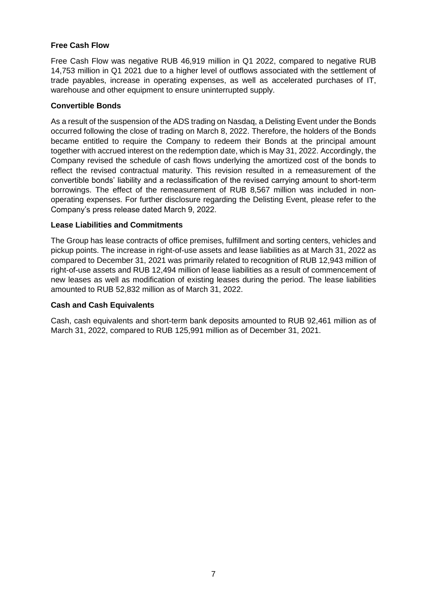## **Free Cash Flow**

Free Cash Flow was negative RUB 46,919 million in Q1 2022, compared to negative RUB 14,753 million in Q1 2021 due to a higher level of outflows associated with the settlement of trade payables, increase in operating expenses, as well as accelerated purchases of IT, warehouse and other equipment to ensure uninterrupted supply.

## **Convertible Bonds**

As a result of the suspension of the ADS trading on Nasdaq, a Delisting Event under the Bonds occurred following the close of trading on March 8, 2022. Therefore, the holders of the Bonds became entitled to require the Company to redeem their Bonds at the principal amount together with accrued interest on the redemption date, which is May 31, 2022. Accordingly, the Company revised the schedule of cash flows underlying the amortized cost of the bonds to reflect the revised contractual maturity. This revision resulted in a remeasurement of the convertible bonds' liability and a reclassification of the revised carrying amount to short-term borrowings. The effect of the remeasurement of RUB 8,567 million was included in nonoperating expenses. For further disclosure regarding the Delisting Event, please refer to the Company's press release dated March 9, 2022.

## **Lease Liabilities and Commitments**

The Group has lease contracts of office premises, fulfillment and sorting centers, vehicles and pickup points. The increase in right-of-use assets and lease liabilities as at March 31, 2022 as compared to December 31, 2021 was primarily related to recognition of RUB 12,943 million of right-of-use assets and RUB 12,494 million of lease liabilities as a result of commencement of new leases as well as modification of existing leases during the period. The lease liabilities amounted to RUB 52,832 million as of March 31, 2022.

#### **Cash and Cash Equivalents**

Cash, cash equivalents and short-term bank deposits amounted to RUB 92,461 million as of March 31, 2022, compared to RUB 125,991 million as of December 31, 2021.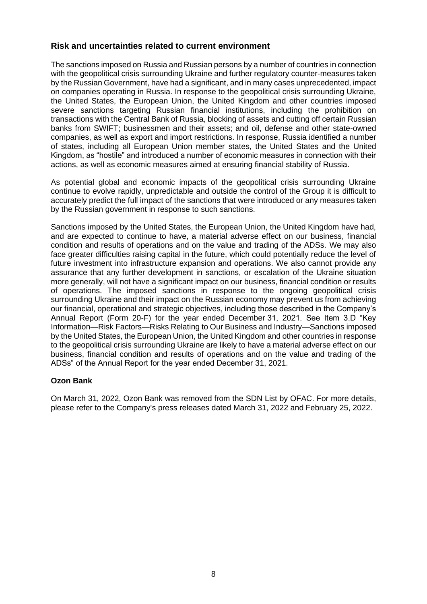## **Risk and uncertainties related to current environment**

The sanctions imposed on Russia and Russian persons by a number of countries in connection with the geopolitical crisis surrounding Ukraine and further regulatory counter-measures taken by the Russian Government, have had a significant, and in many cases unprecedented, impact on companies operating in Russia. In response to the geopolitical crisis surrounding Ukraine, the United States, the European Union, the United Kingdom and other countries imposed severe sanctions targeting Russian financial institutions, including the prohibition on transactions with the Central Bank of Russia, blocking of assets and cutting off certain Russian banks from SWIFT; businessmen and their assets; and oil, defense and other state-owned companies, as well as export and import restrictions. In response, Russia identified a number of states, including all European Union member states, the United States and the United Kingdom, as "hostile" and introduced a number of economic measures in connection with their actions, as well as economic measures aimed at ensuring financial stability of Russia.

As potential global and economic impacts of the geopolitical crisis surrounding Ukraine continue to evolve rapidly, unpredictable and outside the control of the Group it is difficult to accurately predict the full impact of the sanctions that were introduced or any measures taken by the Russian government in response to such sanctions.

Sanctions imposed by the United States, the European Union, the United Kingdom have had, and are expected to continue to have, a material adverse effect on our business, financial condition and results of operations and on the value and trading of the ADSs. We may also face greater difficulties raising capital in the future, which could potentially reduce the level of future investment into infrastructure expansion and operations. We also cannot provide any assurance that any further development in sanctions, or escalation of the Ukraine situation more generally, will not have a significant impact on our business, financial condition or results of operations. The imposed sanctions in response to the ongoing geopolitical crisis surrounding Ukraine and their impact on the Russian economy may prevent us from achieving our financial, operational and strategic objectives, including those described in the Company's Annual Report (Form 20-F) for the year ended December 31, 2021. See Item 3.D "Key Information—Risk Factors—Risks Relating to Our Business and Industry—Sanctions imposed by the United States, the European Union, the United Kingdom and other countries in response to the geopolitical crisis surrounding Ukraine are likely to have a material adverse effect on our business, financial condition and results of operations and on the value and trading of the ADSs" of the Annual Report for the year ended December 31, 2021.

## **Ozon Bank**

On March 31, 2022, Ozon Bank was removed from the SDN List by OFAC. For more details, please refer to the Company's press releases dated March 31, 2022 and February 25, 2022.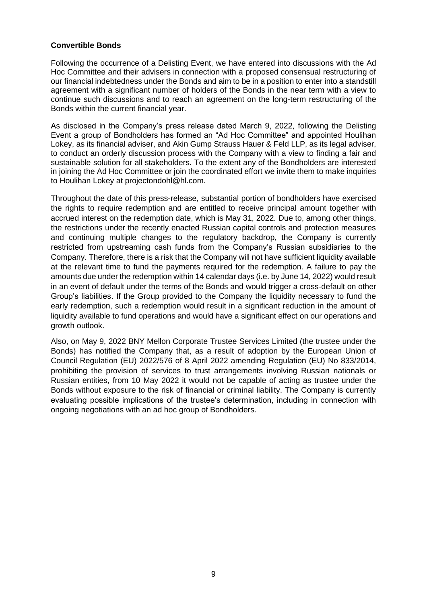## **Convertible Bonds**

Following the occurrence of a Delisting Event, we have entered into discussions with the Ad Hoc Committee and their advisers in connection with a proposed consensual restructuring of our financial indebtedness under the Bonds and aim to be in a position to enter into a standstill agreement with a significant number of holders of the Bonds in the near term with a view to continue such discussions and to reach an agreement on the long-term restructuring of the Bonds within the current financial year.

As disclosed in the Company's press release dated March 9, 2022, following the Delisting Event a group of Bondholders has formed an "Ad Hoc Committee" and appointed Houlihan Lokey, as its financial adviser, and Akin Gump Strauss Hauer & Feld LLP, as its legal adviser, to conduct an orderly discussion process with the Company with a view to finding a fair and sustainable solution for all stakeholders. To the extent any of the Bondholders are interested in joining the Ad Hoc Committee or join the coordinated effort we invite them to make inquiries to Houlihan Lokey at projectondohl@hl.com.

Throughout the date of this press-release, substantial portion of bondholders have exercised the rights to require redemption and are entitled to receive principal amount together with accrued interest on the redemption date, which is May 31, 2022. Due to, among other things, the restrictions under the recently enacted Russian capital controls and protection measures and continuing multiple changes to the regulatory backdrop, the Company is currently restricted from upstreaming cash funds from the Company's Russian subsidiaries to the Company. Therefore, there is a risk that the Company will not have sufficient liquidity available at the relevant time to fund the payments required for the redemption. A failure to pay the amounts due under the redemption within 14 calendar days (i.e. by June 14, 2022) would result in an event of default under the terms of the Bonds and would trigger a cross-default on other Group's liabilities. If the Group provided to the Company the liquidity necessary to fund the early redemption, such a redemption would result in a significant reduction in the amount of liquidity available to fund operations and would have a significant effect on our operations and growth outlook.

Also, on May 9, 2022 BNY Mellon Corporate Trustee Services Limited (the trustee under the Bonds) has notified the Company that, as a result of adoption by the European Union of Council Regulation (EU) 2022/576 of 8 April 2022 amending Regulation (EU) No 833/2014, prohibiting the provision of services to trust arrangements involving Russian nationals or Russian entities, from 10 May 2022 it would not be capable of acting as trustee under the Bonds without exposure to the risk of financial or criminal liability. The Company is currently evaluating possible implications of the trustee's determination, including in connection with ongoing negotiations with an ad hoc group of Bondholders.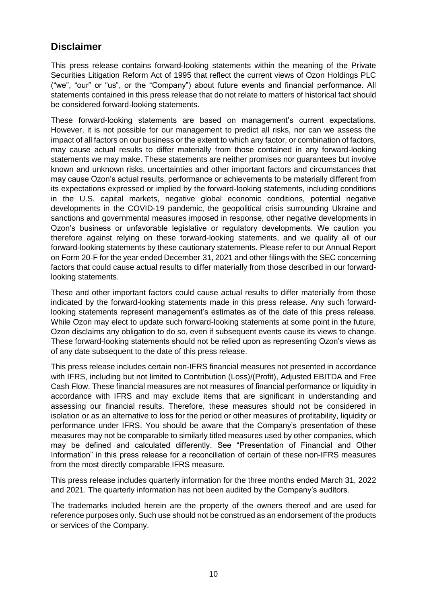# **Disclaimer**

This press release contains forward-looking statements within the meaning of the Private Securities Litigation Reform Act of 1995 that reflect the current views of Ozon Holdings PLC ("we", "our" or "us", or the "Company") about future events and financial performance. All statements contained in this press release that do not relate to matters of historical fact should be considered forward-looking statements.

These forward-looking statements are based on management's current expectations. However, it is not possible for our management to predict all risks, nor can we assess the impact of all factors on our business or the extent to which any factor, or combination of factors, may cause actual results to differ materially from those contained in any forward-looking statements we may make. These statements are neither promises nor guarantees but involve known and unknown risks, uncertainties and other important factors and circumstances that may cause Ozon's actual results, performance or achievements to be materially different from its expectations expressed or implied by the forward-looking statements, including conditions in the U.S. capital markets, negative global economic conditions, potential negative developments in the COVID-19 pandemic, the geopolitical crisis surrounding Ukraine and sanctions and governmental measures imposed in response, other negative developments in Ozon's business or unfavorable legislative or regulatory developments. We caution you therefore against relying on these forward-looking statements, and we qualify all of our forward-looking statements by these cautionary statements. Please refer to our Annual Report on Form 20-F for the year ended December 31, 2021 and other filings with the SEC concerning factors that could cause actual results to differ materially from those described in our forwardlooking statements.

These and other important factors could cause actual results to differ materially from those indicated by the forward-looking statements made in this press release. Any such forwardlooking statements represent management's estimates as of the date of this press release. While Ozon may elect to update such forward-looking statements at some point in the future, Ozon disclaims any obligation to do so, even if subsequent events cause its views to change. These forward-looking statements should not be relied upon as representing Ozon's views as of any date subsequent to the date of this press release.

This press release includes certain non-IFRS financial measures not presented in accordance with IFRS, including but not limited to Contribution (Loss)/(Profit), Adjusted EBITDA and Free Cash Flow. These financial measures are not measures of financial performance or liquidity in accordance with IFRS and may exclude items that are significant in understanding and assessing our financial results. Therefore, these measures should not be considered in isolation or as an alternative to loss for the period or other measures of profitability, liquidity or performance under IFRS. You should be aware that the Company's presentation of these measures may not be comparable to similarly titled measures used by other companies, which may be defined and calculated differently. See "Presentation of Financial and Other Information" in this press release for a reconciliation of certain of these non-IFRS measures from the most directly comparable IFRS measure.

This press release includes quarterly information for the three months ended March 31, 2022 and 2021. The quarterly information has not been audited by the Company's auditors.

The trademarks included herein are the property of the owners thereof and are used for reference purposes only. Such use should not be construed as an endorsement of the products or services of the Company.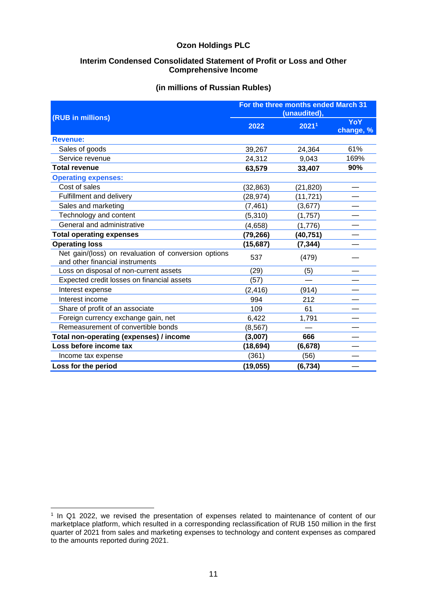#### **Interim Condensed Consolidated Statement of Profit or Loss and Other Comprehensive Income**

#### **(in millions of Russian Rubles)**

| (RUB in millions)                                                                       | For the three months ended March 31<br>(unaudited), |                   |                         |
|-----------------------------------------------------------------------------------------|-----------------------------------------------------|-------------------|-------------------------|
|                                                                                         | 2022                                                | 2021 <sup>1</sup> | <b>YoY</b><br>change, % |
| <b>Revenue:</b>                                                                         |                                                     |                   |                         |
| Sales of goods                                                                          | 39,267                                              | 24,364            | 61%                     |
| Service revenue                                                                         | 24,312                                              | 9,043             | 169%                    |
| <b>Total revenue</b>                                                                    | 63,579                                              | 33,407            | 90%                     |
| <b>Operating expenses:</b>                                                              |                                                     |                   |                         |
| Cost of sales                                                                           | (32, 863)                                           | (21, 820)         |                         |
| Fulfillment and delivery                                                                | (28, 974)                                           | (11, 721)         |                         |
| Sales and marketing                                                                     | (7, 461)                                            | (3,677)           |                         |
| Technology and content                                                                  | (5, 310)                                            | (1,757)           |                         |
| General and administrative                                                              | (4,658)                                             | (1,776)           |                         |
| <b>Total operating expenses</b>                                                         | (79, 266)                                           | (40, 751)         |                         |
| <b>Operating loss</b>                                                                   | (15,687)                                            | (7, 344)          |                         |
| Net gain/(loss) on revaluation of conversion options<br>and other financial instruments | 537                                                 | (479)             |                         |
| Loss on disposal of non-current assets                                                  | (29)                                                | (5)               |                         |
| Expected credit losses on financial assets                                              | (57)                                                |                   |                         |
| Interest expense                                                                        | (2, 416)                                            | (914)             |                         |
| Interest income                                                                         | 994                                                 | 212               |                         |
| Share of profit of an associate                                                         | 109                                                 | 61                |                         |
| Foreign currency exchange gain, net                                                     | 6,422                                               | 1,791             |                         |
| Remeasurement of convertible bonds                                                      | (8, 567)                                            |                   |                         |
| Total non-operating (expenses) / income                                                 | (3,007)                                             | 666               |                         |
| Loss before income tax                                                                  | (18, 694)                                           | (6, 678)          |                         |
| Income tax expense                                                                      | (361)                                               | (56)              |                         |
| Loss for the period                                                                     | (19, 055)                                           | (6, 734)          |                         |

<sup>1</sup> In Q1 2022, we revised the presentation of expenses related to maintenance of content of our marketplace platform, which resulted in a corresponding reclassification of RUB 150 million in the first quarter of 2021 from sales and marketing expenses to technology and content expenses as compared to the amounts reported during 2021.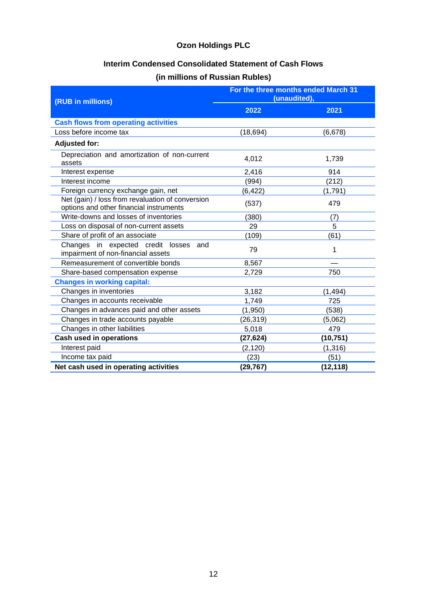## **Interim Condensed Consolidated Statement of Cash Flows**

## **(in millions of Russian Rubles)**

| (RUB in millions)                                                                           | For the three months ended March 31<br>(unaudited), |           |
|---------------------------------------------------------------------------------------------|-----------------------------------------------------|-----------|
|                                                                                             | 2022                                                | 2021      |
| <b>Cash flows from operating activities</b>                                                 |                                                     |           |
| Loss before income tax                                                                      | (18, 694)                                           | (6,678)   |
| <b>Adjusted for:</b>                                                                        |                                                     |           |
| Depreciation and amortization of non-current<br>assets                                      | 4,012                                               | 1,739     |
| Interest expense                                                                            | 2,416                                               | 914       |
| Interest income                                                                             | (994)                                               | (212)     |
| Foreign currency exchange gain, net                                                         | (6, 422)                                            | (1,791)   |
| Net (gain) / loss from revaluation of conversion<br>options and other financial instruments | (537)                                               | 479       |
| Write-downs and losses of inventories                                                       | (380)                                               | (7)       |
| Loss on disposal of non-current assets                                                      | 29                                                  | 5         |
| Share of profit of an associate                                                             | (109)                                               | (61)      |
| Changes in expected credit losses<br>and<br>impairment of non-financial assets              | 79                                                  | 1         |
| Remeasurement of convertible bonds                                                          | 8,567                                               |           |
| Share-based compensation expense                                                            | 2,729                                               | 750       |
| <b>Changes in working capital:</b>                                                          |                                                     |           |
| Changes in inventories                                                                      | 3,182                                               | (1, 494)  |
| Changes in accounts receivable                                                              | 1,749                                               | 725       |
| Changes in advances paid and other assets                                                   | (1,950)                                             | (538)     |
| Changes in trade accounts payable                                                           | (26, 319)                                           | (5,062)   |
| Changes in other liabilities                                                                | 5,018                                               | 479       |
| <b>Cash used in operations</b>                                                              | (27, 624)                                           | (10,751)  |
| Interest paid                                                                               | (2, 120)                                            | (1, 316)  |
| Income tax paid                                                                             | (23)                                                | (51)      |
| Net cash used in operating activities                                                       | (29, 767)                                           | (12, 118) |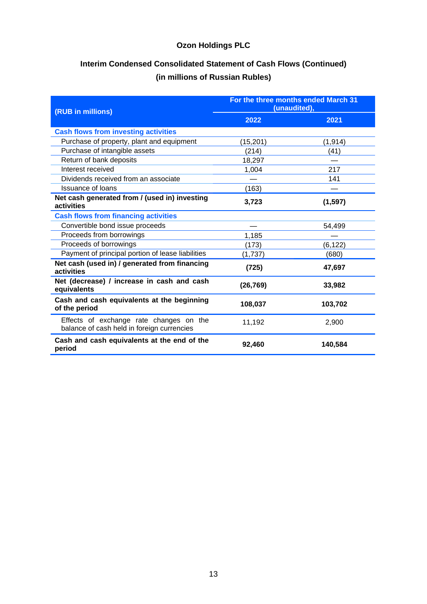# **Interim Condensed Consolidated Statement of Cash Flows (Continued) (in millions of Russian Rubles)**

| (RUB in millions)                                                                     | For the three months ended March 31<br>(unaudited), |          |
|---------------------------------------------------------------------------------------|-----------------------------------------------------|----------|
|                                                                                       | 2022                                                | 2021     |
| <b>Cash flows from investing activities</b>                                           |                                                     |          |
| Purchase of property, plant and equipment                                             | (15, 201)                                           | (1, 914) |
| Purchase of intangible assets                                                         | (214)                                               | (41)     |
| Return of bank deposits                                                               | 18,297                                              |          |
| Interest received                                                                     | 1,004                                               | 217      |
| Dividends received from an associate                                                  |                                                     | 141      |
| <b>Issuance of loans</b>                                                              | (163)                                               |          |
| Net cash generated from / (used in) investing<br>activities                           | 3,723                                               | (1, 597) |
| <b>Cash flows from financing activities</b>                                           |                                                     |          |
| Convertible bond issue proceeds                                                       |                                                     | 54,499   |
| Proceeds from borrowings                                                              | 1,185                                               |          |
| Proceeds of borrowings                                                                | (173)                                               | (6, 122) |
| Payment of principal portion of lease liabilities                                     | (1,737)                                             | (680)    |
| Net cash (used in) / generated from financing<br>activities                           | (725)                                               | 47,697   |
| Net (decrease) / increase in cash and cash<br>equivalents                             | (26, 769)                                           | 33,982   |
| Cash and cash equivalents at the beginning<br>of the period                           | 108,037                                             | 103,702  |
| Effects of exchange rate changes on the<br>balance of cash held in foreign currencies | 11,192                                              | 2,900    |
| Cash and cash equivalents at the end of the<br>period                                 | 92,460                                              | 140,584  |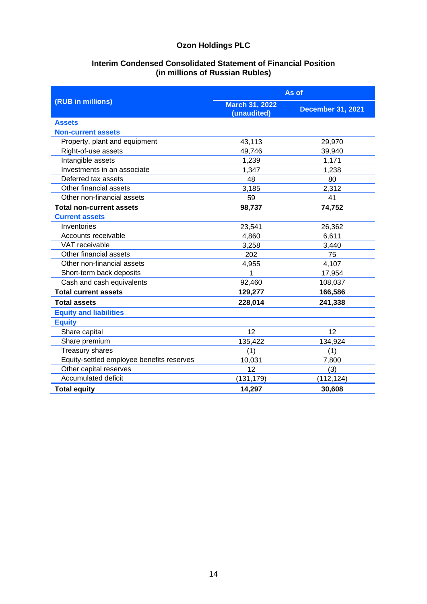## **Interim Condensed Consolidated Statement of Financial Position (in millions of Russian Rubles)**

|                                           |                                      | As of                    |  |  |
|-------------------------------------------|--------------------------------------|--------------------------|--|--|
| (RUB in millions)                         | <b>March 31, 2022</b><br>(unaudited) | <b>December 31, 2021</b> |  |  |
| <b>Assets</b>                             |                                      |                          |  |  |
| <b>Non-current assets</b>                 |                                      |                          |  |  |
| Property, plant and equipment             | 43,113                               | 29,970                   |  |  |
| Right-of-use assets                       | 49,746                               | 39,940                   |  |  |
| Intangible assets                         | 1,239                                | 1,171                    |  |  |
| Investments in an associate               | 1,347                                | 1,238                    |  |  |
| Deferred tax assets                       | 48                                   | 80                       |  |  |
| Other financial assets                    | 3,185                                | 2,312                    |  |  |
| Other non-financial assets                | 59                                   | 41                       |  |  |
| <b>Total non-current assets</b>           | 98,737                               | 74,752                   |  |  |
| <b>Current assets</b>                     |                                      |                          |  |  |
| Inventories                               | 23,541                               | 26,362                   |  |  |
| Accounts receivable                       | 4,860                                | 6,611                    |  |  |
| VAT receivable                            | 3,258                                | 3,440                    |  |  |
| Other financial assets                    | 202                                  | 75                       |  |  |
| Other non-financial assets                | 4,955                                | 4,107                    |  |  |
| Short-term back deposits                  | 1                                    | 17,954                   |  |  |
| Cash and cash equivalents                 | 92,460                               | 108,037                  |  |  |
| <b>Total current assets</b>               | 129,277                              | 166,586                  |  |  |
| <b>Total assets</b>                       | 228,014                              | 241,338                  |  |  |
| <b>Equity and liabilities</b>             |                                      |                          |  |  |
| <b>Equity</b>                             |                                      |                          |  |  |
| Share capital                             | 12                                   | 12                       |  |  |
| Share premium                             | 135,422                              | 134,924                  |  |  |
| <b>Treasury shares</b>                    | (1)                                  | (1)                      |  |  |
| Equity-settled employee benefits reserves | 10,031                               | 7,800                    |  |  |
| Other capital reserves                    | 12                                   | (3)                      |  |  |
| Accumulated deficit                       | (131, 179)                           | (112, 124)               |  |  |
| <b>Total equity</b>                       | 14,297                               | 30,608                   |  |  |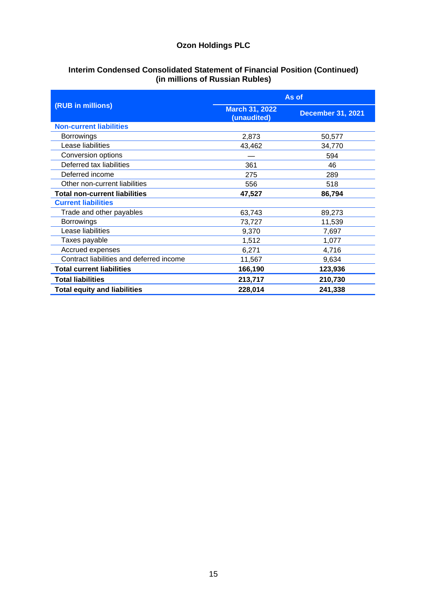### **Interim Condensed Consolidated Statement of Financial Position (Continued) (in millions of Russian Rubles)**

|                                          | As of                                |                          |
|------------------------------------------|--------------------------------------|--------------------------|
| (RUB in millions)                        | <b>March 31, 2022</b><br>(unaudited) | <b>December 31, 2021</b> |
| <b>Non-current liabilities</b>           |                                      |                          |
| <b>Borrowings</b>                        | 2,873                                | 50,577                   |
| Lease liabilities                        | 43,462                               | 34,770                   |
| Conversion options                       |                                      | 594                      |
| Deferred tax liabilities                 | 361                                  | 46                       |
| Deferred income                          | 275                                  | 289                      |
| Other non-current liabilities            | 556                                  | 518                      |
| <b>Total non-current liabilities</b>     | 47,527                               | 86,794                   |
| <b>Current liabilities</b>               |                                      |                          |
| Trade and other payables                 | 63,743                               | 89,273                   |
| <b>Borrowings</b>                        | 73,727                               | 11,539                   |
| Lease liabilities                        | 9,370                                | 7,697                    |
| Taxes payable                            | 1,512                                | 1,077                    |
| Accrued expenses                         | 6,271                                | 4,716                    |
| Contract liabilities and deferred income | 11,567                               | 9,634                    |
| <b>Total current liabilities</b>         | 166,190                              | 123,936                  |
| <b>Total liabilities</b>                 | 213,717                              | 210,730                  |
| <b>Total equity and liabilities</b>      | 228,014                              | 241,338                  |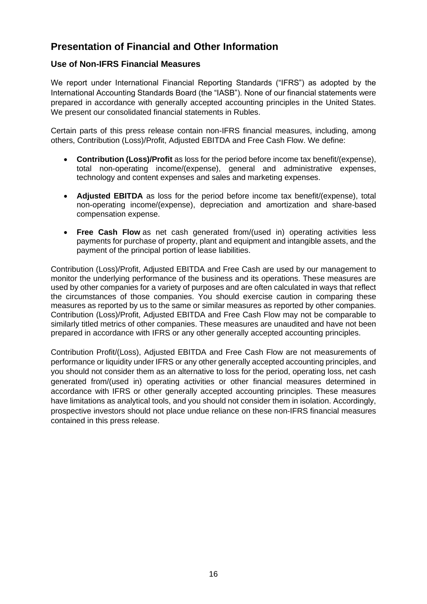# **Presentation of Financial and Other Information**

## **Use of Non-IFRS Financial Measures**

We report under International Financial Reporting Standards ("IFRS") as adopted by the International Accounting Standards Board (the "IASB"). None of our financial statements were prepared in accordance with generally accepted accounting principles in the United States. We present our consolidated financial statements in Rubles.

Certain parts of this press release contain non-IFRS financial measures, including, among others, Contribution (Loss)/Profit, Adjusted EBITDA and Free Cash Flow. We define:

- **Contribution (Loss)/Profit** as loss for the period before income tax benefit/(expense), total non-operating income/(expense), general and administrative expenses, technology and content expenses and sales and marketing expenses.
- **Adjusted EBITDA** as loss for the period before income tax benefit/(expense), total non-operating income/(expense), depreciation and amortization and share-based compensation expense.
- **Free Cash Flow** as net cash generated from/(used in) operating activities less payments for purchase of property, plant and equipment and intangible assets, and the payment of the principal portion of lease liabilities.

Contribution (Loss)/Profit, Adjusted EBITDA and Free Cash are used by our management to monitor the underlying performance of the business and its operations. These measures are used by other companies for a variety of purposes and are often calculated in ways that reflect the circumstances of those companies. You should exercise caution in comparing these measures as reported by us to the same or similar measures as reported by other companies. Contribution (Loss)/Profit, Adjusted EBITDA and Free Cash Flow may not be comparable to similarly titled metrics of other companies. These measures are unaudited and have not been prepared in accordance with IFRS or any other generally accepted accounting principles.

Contribution Profit/(Loss), Adjusted EBITDA and Free Cash Flow are not measurements of performance or liquidity under IFRS or any other generally accepted accounting principles, and you should not consider them as an alternative to loss for the period, operating loss, net cash generated from/(used in) operating activities or other financial measures determined in accordance with IFRS or other generally accepted accounting principles. These measures have limitations as analytical tools, and you should not consider them in isolation. Accordingly, prospective investors should not place undue reliance on these non-IFRS financial measures contained in this press release.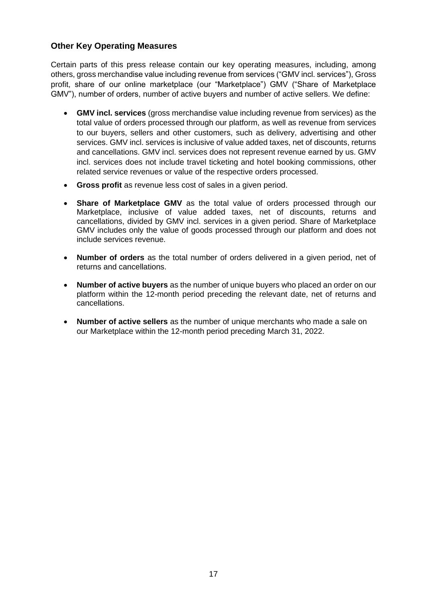## **Other Key Operating Measures**

Certain parts of this press release contain our key operating measures, including, among others, gross merchandise value including revenue from services ("GMV incl. services"), Gross profit, share of our online marketplace (our "Marketplace") GMV ("Share of Marketplace GMV"), number of orders, number of active buyers and number of active sellers. We define:

- **GMV incl. services** (gross merchandise value including revenue from services) as the total value of orders processed through our platform, as well as revenue from services to our buyers, sellers and other customers, such as delivery, advertising and other services. GMV incl. services is inclusive of value added taxes, net of discounts, returns and cancellations. GMV incl. services does not represent revenue earned by us. GMV incl. services does not include travel ticketing and hotel booking commissions, other related service revenues or value of the respective orders processed.
- **Gross profit** as revenue less cost of sales in a given period.
- **Share of Marketplace GMV** as the total value of orders processed through our Marketplace, inclusive of value added taxes, net of discounts, returns and cancellations, divided by GMV incl. services in a given period. Share of Marketplace GMV includes only the value of goods processed through our platform and does not include services revenue.
- **Number of orders** as the total number of orders delivered in a given period, net of returns and cancellations.
- **Number of active buyers** as the number of unique buyers who placed an order on our platform within the 12-month period preceding the relevant date, net of returns and cancellations.
- **Number of active sellers** as the number of unique merchants who made a sale on our Marketplace within the 12-month period preceding March 31, 2022.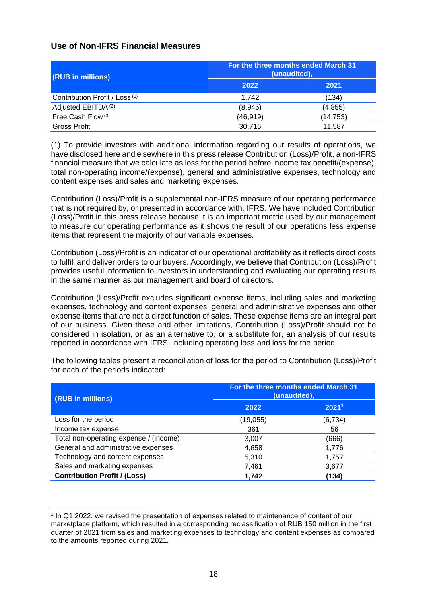## **Use of Non-IFRS Financial Measures**

| (RUB in millions)                         | For the three months ended March 31<br>(unaudited), |           |  |
|-------------------------------------------|-----------------------------------------------------|-----------|--|
|                                           | 2022                                                | 2021      |  |
| Contribution Profit / Loss <sup>(1)</sup> | 1.742                                               | (134)     |  |
| Adjusted EBITDA <sup>(2)</sup>            | (8,946)                                             | (4,855)   |  |
| Free Cash Flow (3)                        | (46,919)                                            | (14, 753) |  |
| Gross Profit                              | 30,716                                              | 11.587    |  |

(1) To provide investors with additional information regarding our results of operations, we have disclosed here and elsewhere in this press release Contribution (Loss)/Profit, a non-IFRS financial measure that we calculate as loss for the period before income tax benefit/(expense), total non-operating income/(expense), general and administrative expenses, technology and content expenses and sales and marketing expenses.

Contribution (Loss)/Profit is a supplemental non-IFRS measure of our operating performance that is not required by, or presented in accordance with, IFRS. We have included Contribution (Loss)/Profit in this press release because it is an important metric used by our management to measure our operating performance as it shows the result of our operations less expense items that represent the majority of our variable expenses.

Contribution (Loss)/Profit is an indicator of our operational profitability as it reflects direct costs to fulfill and deliver orders to our buyers. Accordingly, we believe that Contribution (Loss)/Profit provides useful information to investors in understanding and evaluating our operating results in the same manner as our management and board of directors.

Contribution (Loss)/Profit excludes significant expense items, including sales and marketing expenses, technology and content expenses, general and administrative expenses and other expense items that are not a direct function of sales. These expense items are an integral part of our business. Given these and other limitations, Contribution (Loss)/Profit should not be considered in isolation, or as an alternative to, or a substitute for, an analysis of our results reported in accordance with IFRS, including operating loss and loss for the period.

| (RUB in millions)                      | For the three months ended March 31<br>(unaudited), |                   |  |
|----------------------------------------|-----------------------------------------------------|-------------------|--|
|                                        | 2022                                                | 2021 <sup>1</sup> |  |
| Loss for the period                    | (19, 055)                                           | (6, 734)          |  |
| Income tax expense                     | 361                                                 | 56                |  |
| Total non-operating expense / (income) | 3,007                                               | (666)             |  |
| General and administrative expenses    | 4,658                                               | 1,776             |  |
| Technology and content expenses        | 5,310                                               | 1,757             |  |
| Sales and marketing expenses           | 7,461                                               | 3,677             |  |
| <b>Contribution Profit / (Loss)</b>    | 1,742                                               | (134)             |  |

The following tables present a reconciliation of loss for the period to Contribution (Loss)/Profit for each of the periods indicated:

<sup>1</sup> In Q1 2022, we revised the presentation of expenses related to maintenance of content of our marketplace platform, which resulted in a corresponding reclassification of RUB 150 million in the first quarter of 2021 from sales and marketing expenses to technology and content expenses as compared to the amounts reported during 2021.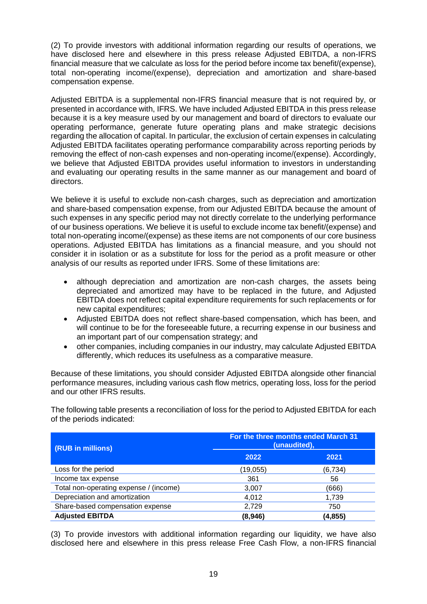(2) To provide investors with additional information regarding our results of operations, we have disclosed here and elsewhere in this press release Adjusted EBITDA, a non-IFRS financial measure that we calculate as loss for the period before income tax benefit/(expense), total non-operating income/(expense), depreciation and amortization and share-based compensation expense.

Adjusted EBITDA is a supplemental non-IFRS financial measure that is not required by, or presented in accordance with, IFRS. We have included Adjusted EBITDA in this press release because it is a key measure used by our management and board of directors to evaluate our operating performance, generate future operating plans and make strategic decisions regarding the allocation of capital. In particular, the exclusion of certain expenses in calculating Adjusted EBITDA facilitates operating performance comparability across reporting periods by removing the effect of non-cash expenses and non-operating income/(expense). Accordingly, we believe that Adjusted EBITDA provides useful information to investors in understanding and evaluating our operating results in the same manner as our management and board of directors.

We believe it is useful to exclude non-cash charges, such as depreciation and amortization and share-based compensation expense, from our Adjusted EBITDA because the amount of such expenses in any specific period may not directly correlate to the underlying performance of our business operations. We believe it is useful to exclude income tax benefit/(expense) and total non-operating income/(expense) as these items are not components of our core business operations. Adjusted EBITDA has limitations as a financial measure, and you should not consider it in isolation or as a substitute for loss for the period as a profit measure or other analysis of our results as reported under IFRS. Some of these limitations are:

- although depreciation and amortization are non-cash charges, the assets being depreciated and amortized may have to be replaced in the future, and Adjusted EBITDA does not reflect capital expenditure requirements for such replacements or for new capital expenditures;
- Adjusted EBITDA does not reflect share-based compensation, which has been, and will continue to be for the foreseeable future, a recurring expense in our business and an important part of our compensation strategy; and
- other companies, including companies in our industry, may calculate Adjusted EBITDA differently, which reduces its usefulness as a comparative measure.

Because of these limitations, you should consider Adjusted EBITDA alongside other financial performance measures, including various cash flow metrics, operating loss, loss for the period and our other IFRS results.

The following table presents a reconciliation of loss for the period to Adjusted EBITDA for each of the periods indicated:

| (RUB in millions)                      | For the three months ended March 31<br>(unaudited), |          |  |
|----------------------------------------|-----------------------------------------------------|----------|--|
|                                        | 2022                                                | 2021     |  |
| Loss for the period                    | (19, 055)                                           | (6, 734) |  |
| Income tax expense                     | 361                                                 | 56       |  |
| Total non-operating expense / (income) | 3,007                                               | (666)    |  |
| Depreciation and amortization          | 4,012                                               | 1,739    |  |
| Share-based compensation expense       | 2,729                                               | 750      |  |
| <b>Adjusted EBITDA</b>                 | (8,946)                                             | (4, 855) |  |

(3) To provide investors with additional information regarding our liquidity, we have also disclosed here and elsewhere in this press release Free Cash Flow, a non-IFRS financial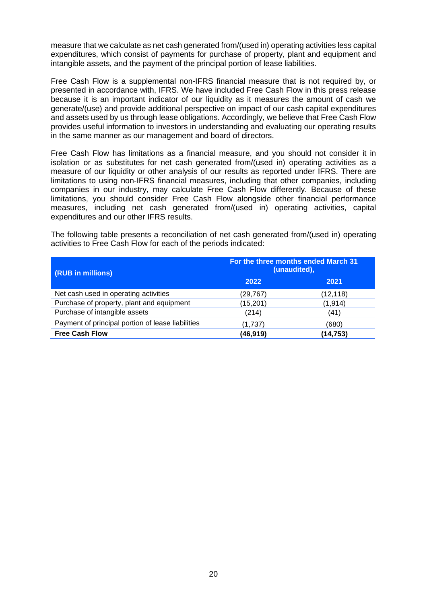measure that we calculate as net cash generated from/(used in) operating activities less capital expenditures, which consist of payments for purchase of property, plant and equipment and intangible assets, and the payment of the principal portion of lease liabilities.

Free Cash Flow is a supplemental non-IFRS financial measure that is not required by, or presented in accordance with, IFRS. We have included Free Cash Flow in this press release because it is an important indicator of our liquidity as it measures the amount of cash we generate/(use) and provide additional perspective on impact of our cash capital expenditures and assets used by us through lease obligations. Accordingly, we believe that Free Cash Flow provides useful information to investors in understanding and evaluating our operating results in the same manner as our management and board of directors.

Free Cash Flow has limitations as a financial measure, and you should not consider it in isolation or as substitutes for net cash generated from/(used in) operating activities as a measure of our liquidity or other analysis of our results as reported under IFRS. There are limitations to using non-IFRS financial measures, including that other companies, including companies in our industry, may calculate Free Cash Flow differently. Because of these limitations, you should consider Free Cash Flow alongside other financial performance measures, including net cash generated from/(used in) operating activities, capital expenditures and our other IFRS results.

The following table presents a reconciliation of net cash generated from/(used in) operating activities to Free Cash Flow for each of the periods indicated:

| (RUB in millions)                                 | For the three months ended March 31<br>(unaudited), |           |  |
|---------------------------------------------------|-----------------------------------------------------|-----------|--|
|                                                   | 2022                                                | 2021      |  |
| Net cash used in operating activities             | (29, 767)                                           | (12, 118) |  |
| Purchase of property, plant and equipment         | (15, 201)                                           | (1, 914)  |  |
| Purchase of intangible assets                     | (214)                                               | (41)      |  |
| Payment of principal portion of lease liabilities | (1,737)                                             | (680)     |  |
| <b>Free Cash Flow</b>                             | (46,919)                                            | (14, 753) |  |